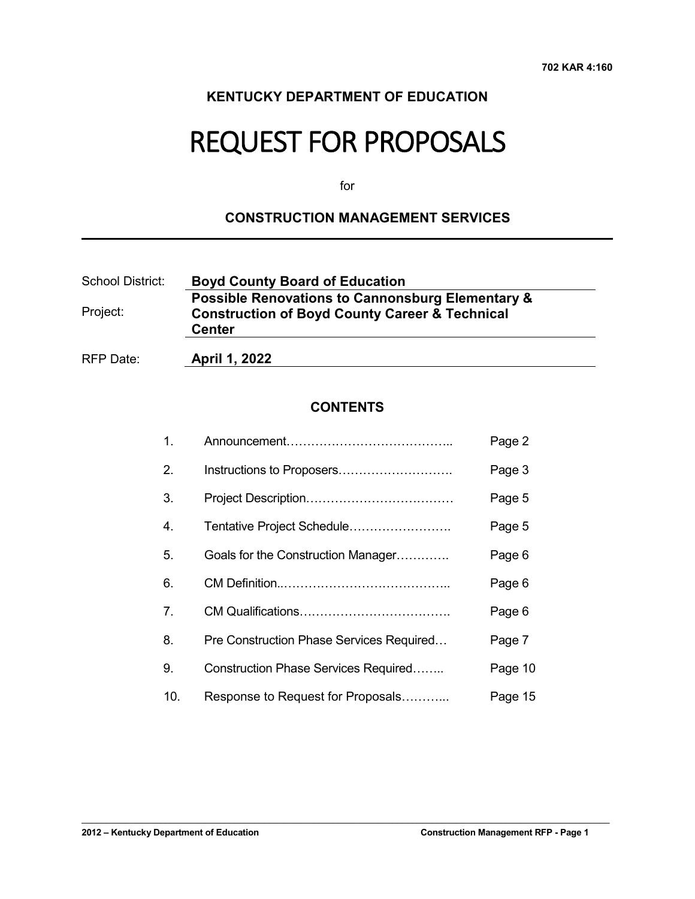### **KENTUCKY DEPARTMENT OF EDUCATION**

# REQUEST FOR PROPOSALS

for

#### **CONSTRUCTION MANAGEMENT SERVICES**

| School District: | <b>Boyd County Board of Education</b>                                                                                    |
|------------------|--------------------------------------------------------------------------------------------------------------------------|
| Project:         | <b>Possible Renovations to Cannonsburg Elementary &amp;</b><br><b>Construction of Boyd County Career &amp; Technical</b> |
|                  | <b>Center</b>                                                                                                            |
| RFP Date:        | April 1, 2022                                                                                                            |

### **CONTENTS**

| $\mathbf{1}$ .   |                                          | Page 2  |
|------------------|------------------------------------------|---------|
| 2.               | Instructions to Proposers                | Page 3  |
| 3.               |                                          | Page 5  |
| $\overline{4}$ . | Tentative Project Schedule               | Page 5  |
| 5.               | Goals for the Construction Manager       | Page 6  |
| 6.               |                                          | Page 6  |
| 7 <sub>1</sub>   |                                          | Page 6  |
| 8.               | Pre Construction Phase Services Required | Page 7  |
| 9.               | Construction Phase Services Required     | Page 10 |
| 10.              | Response to Request for Proposals        | Page 15 |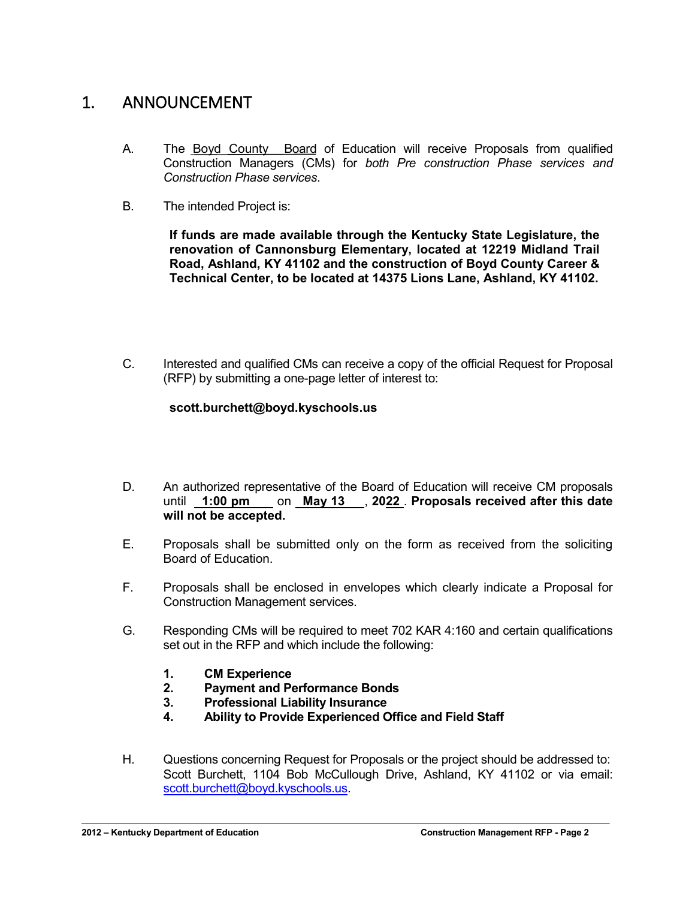# 1. ANNOUNCEMENT

- A. The Boyd County Board of Education will receive Proposals from qualified Construction Managers (CMs) for *both Pre construction Phase services and Construction Phase services*.
- B. The intended Project is:

**If funds are made available through the Kentucky State Legislature, the renovation of Cannonsburg Elementary, located at 12219 Midland Trail Road, Ashland, KY 41102 and the construction of Boyd County Career & Technical Center, to be located at 14375 Lions Lane, Ashland, KY 41102.**

C. Interested and qualified CMs can receive a copy of the official Request for Proposal (RFP) by submitting a one-page letter of interest to:

#### **scott.burchett@boyd.kyschools.us**

- D. An authorized representative of the Board of Education will receive CM proposals until **1:00 pm** on **May 13** , **2022** . **Proposals received after this date will not be accepted.**
- E. Proposals shall be submitted only on the form as received from the soliciting Board of Education.
- F. Proposals shall be enclosed in envelopes which clearly indicate a Proposal for Construction Management services.
- G. Responding CMs will be required to meet 702 KAR 4:160 and certain qualifications set out in the RFP and which include the following:
	- **1. CM Experience**
	- **2. Payment and Performance Bonds**
	- **3. Professional Liability Insurance**
	- **4. Ability to Provide Experienced Office and Field Staff**

 $\mathcal{L}_\mathcal{L} = \mathcal{L}_\mathcal{L} = \mathcal{L}_\mathcal{L} = \mathcal{L}_\mathcal{L} = \mathcal{L}_\mathcal{L} = \mathcal{L}_\mathcal{L} = \mathcal{L}_\mathcal{L} = \mathcal{L}_\mathcal{L} = \mathcal{L}_\mathcal{L} = \mathcal{L}_\mathcal{L} = \mathcal{L}_\mathcal{L} = \mathcal{L}_\mathcal{L} = \mathcal{L}_\mathcal{L} = \mathcal{L}_\mathcal{L} = \mathcal{L}_\mathcal{L} = \mathcal{L}_\mathcal{L} = \mathcal{L}_\mathcal{L}$ 

H. Questions concerning Request for Proposals or the project should be addressed to: Scott Burchett, 1104 Bob McCullough Drive, Ashland, KY 41102 or via email: [scott.burchett@boyd.kyschools.us.](mailto:scott.burchett@boyd.kyschools.us)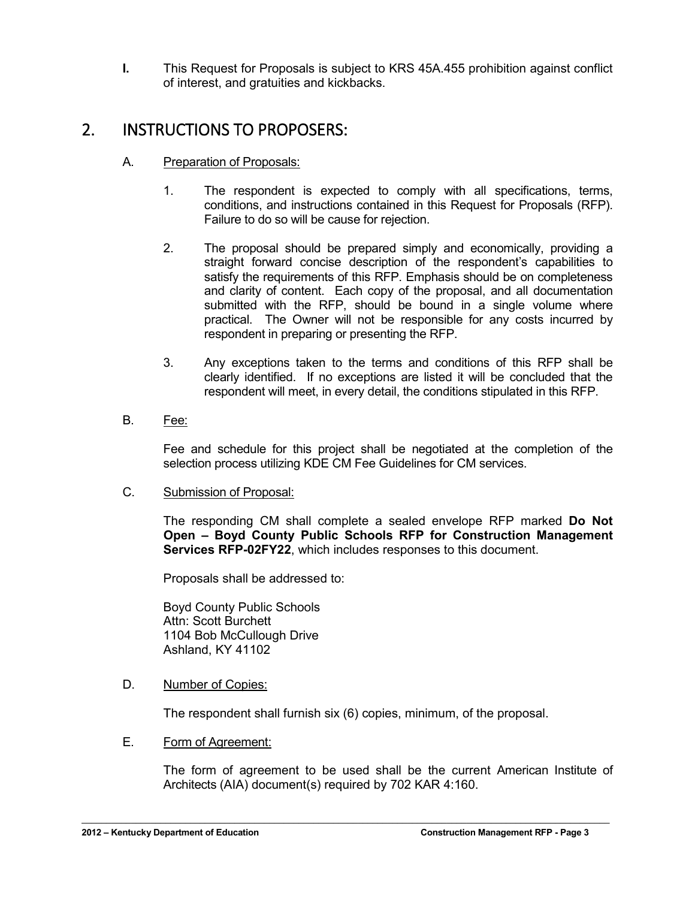**I.** This Request for Proposals is subject to KRS 45A.455 prohibition against conflict of interest, and gratuities and kickbacks.

# 2. INSTRUCTIONS TO PROPOSERS:

- A. Preparation of Proposals:
	- 1. The respondent is expected to comply with all specifications, terms, conditions, and instructions contained in this Request for Proposals (RFP). Failure to do so will be cause for rejection.
	- 2. The proposal should be prepared simply and economically, providing a straight forward concise description of the respondent's capabilities to satisfy the requirements of this RFP. Emphasis should be on completeness and clarity of content. Each copy of the proposal, and all documentation submitted with the RFP, should be bound in a single volume where practical. The Owner will not be responsible for any costs incurred by respondent in preparing or presenting the RFP.
	- 3. Any exceptions taken to the terms and conditions of this RFP shall be clearly identified. If no exceptions are listed it will be concluded that the respondent will meet, in every detail, the conditions stipulated in this RFP.
- B. Fee:

Fee and schedule for this project shall be negotiated at the completion of the selection process utilizing KDE CM Fee Guidelines for CM services.

C. Submission of Proposal:

The responding CM shall complete a sealed envelope RFP marked **Do Not Open – Boyd County Public Schools RFP for Construction Management Services RFP-02FY22**, which includes responses to this document.

Proposals shall be addressed to:

Boyd County Public Schools Attn: Scott Burchett 1104 Bob McCullough Drive Ashland, KY 41102

#### D. Number of Copies:

The respondent shall furnish six (6) copies, minimum, of the proposal.

 $\mathcal{L}_\mathcal{L} = \mathcal{L}_\mathcal{L} = \mathcal{L}_\mathcal{L} = \mathcal{L}_\mathcal{L} = \mathcal{L}_\mathcal{L} = \mathcal{L}_\mathcal{L} = \mathcal{L}_\mathcal{L} = \mathcal{L}_\mathcal{L} = \mathcal{L}_\mathcal{L} = \mathcal{L}_\mathcal{L} = \mathcal{L}_\mathcal{L} = \mathcal{L}_\mathcal{L} = \mathcal{L}_\mathcal{L} = \mathcal{L}_\mathcal{L} = \mathcal{L}_\mathcal{L} = \mathcal{L}_\mathcal{L} = \mathcal{L}_\mathcal{L}$ 

#### E. Form of Agreement:

The form of agreement to be used shall be the current American Institute of Architects (AIA) document(s) required by 702 KAR 4:160.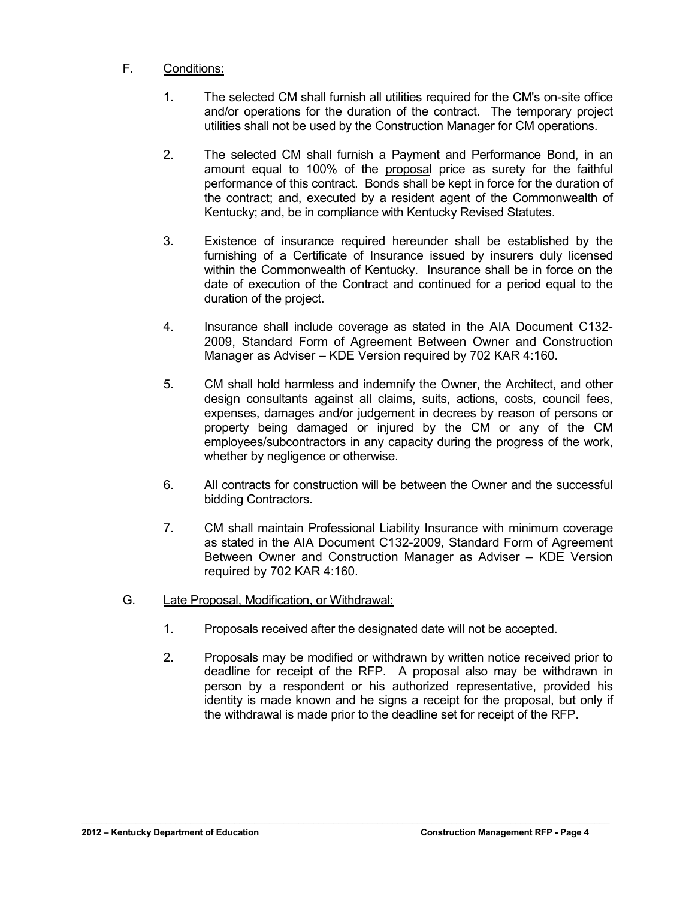#### F. Conditions:

- 1. The selected CM shall furnish all utilities required for the CM's on-site office and/or operations for the duration of the contract. The temporary project utilities shall not be used by the Construction Manager for CM operations.
- 2. The selected CM shall furnish a Payment and Performance Bond, in an amount equal to 100% of the proposal price as surety for the faithful performance of this contract. Bonds shall be kept in force for the duration of the contract; and, executed by a resident agent of the Commonwealth of Kentucky; and, be in compliance with Kentucky Revised Statutes.
- 3. Existence of insurance required hereunder shall be established by the furnishing of a Certificate of Insurance issued by insurers duly licensed within the Commonwealth of Kentucky. Insurance shall be in force on the date of execution of the Contract and continued for a period equal to the duration of the project.
- 4. Insurance shall include coverage as stated in the AIA Document C132- 2009, Standard Form of Agreement Between Owner and Construction Manager as Adviser – KDE Version required by 702 KAR 4:160.
- 5. CM shall hold harmless and indemnify the Owner, the Architect, and other design consultants against all claims, suits, actions, costs, council fees, expenses, damages and/or judgement in decrees by reason of persons or property being damaged or injured by the CM or any of the CM employees/subcontractors in any capacity during the progress of the work, whether by negligence or otherwise.
- 6. All contracts for construction will be between the Owner and the successful bidding Contractors.
- 7. CM shall maintain Professional Liability Insurance with minimum coverage as stated in the AIA Document C132-2009, Standard Form of Agreement Between Owner and Construction Manager as Adviser – KDE Version required by 702 KAR 4:160.
- G. Late Proposal, Modification, or Withdrawal:
	- 1. Proposals received after the designated date will not be accepted.

 $\mathcal{L}_\mathcal{L} = \mathcal{L}_\mathcal{L} = \mathcal{L}_\mathcal{L} = \mathcal{L}_\mathcal{L} = \mathcal{L}_\mathcal{L} = \mathcal{L}_\mathcal{L} = \mathcal{L}_\mathcal{L} = \mathcal{L}_\mathcal{L} = \mathcal{L}_\mathcal{L} = \mathcal{L}_\mathcal{L} = \mathcal{L}_\mathcal{L} = \mathcal{L}_\mathcal{L} = \mathcal{L}_\mathcal{L} = \mathcal{L}_\mathcal{L} = \mathcal{L}_\mathcal{L} = \mathcal{L}_\mathcal{L} = \mathcal{L}_\mathcal{L}$ 

2. Proposals may be modified or withdrawn by written notice received prior to deadline for receipt of the RFP. A proposal also may be withdrawn in person by a respondent or his authorized representative, provided his identity is made known and he signs a receipt for the proposal, but only if the withdrawal is made prior to the deadline set for receipt of the RFP.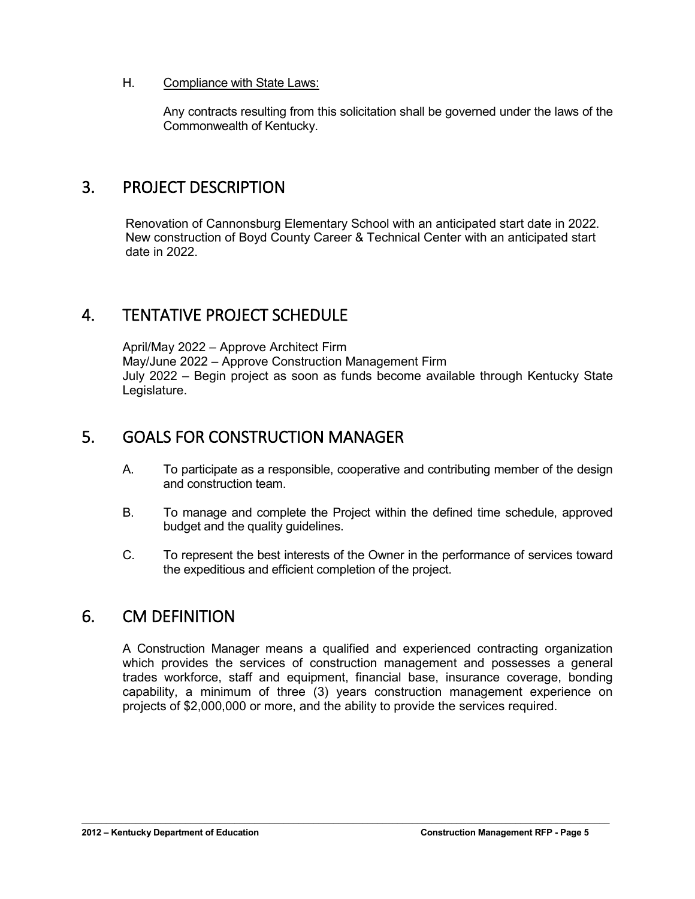#### H. Compliance with State Laws:

Any contracts resulting from this solicitation shall be governed under the laws of the Commonwealth of Kentucky.

### 3. PROJECT DESCRIPTION

Renovation of Cannonsburg Elementary School with an anticipated start date in 2022. New construction of Boyd County Career & Technical Center with an anticipated start date in 2022.

## 4. TENTATIVE PROJECT SCHEDULE

April/May 2022 – Approve Architect Firm May/June 2022 – Approve Construction Management Firm July 2022 – Begin project as soon as funds become available through Kentucky State Legislature.

## 5. GOALS FOR CONSTRUCTION MANAGER

- A. To participate as a responsible, cooperative and contributing member of the design and construction team.
- B. To manage and complete the Project within the defined time schedule, approved budget and the quality guidelines.
- C. To represent the best interests of the Owner in the performance of services toward the expeditious and efficient completion of the project.

## 6. CM DEFINITION

A Construction Manager means a qualified and experienced contracting organization which provides the services of construction management and possesses a general trades workforce, staff and equipment, financial base, insurance coverage, bonding capability, a minimum of three (3) years construction management experience on projects of \$2,000,000 or more, and the ability to provide the services required.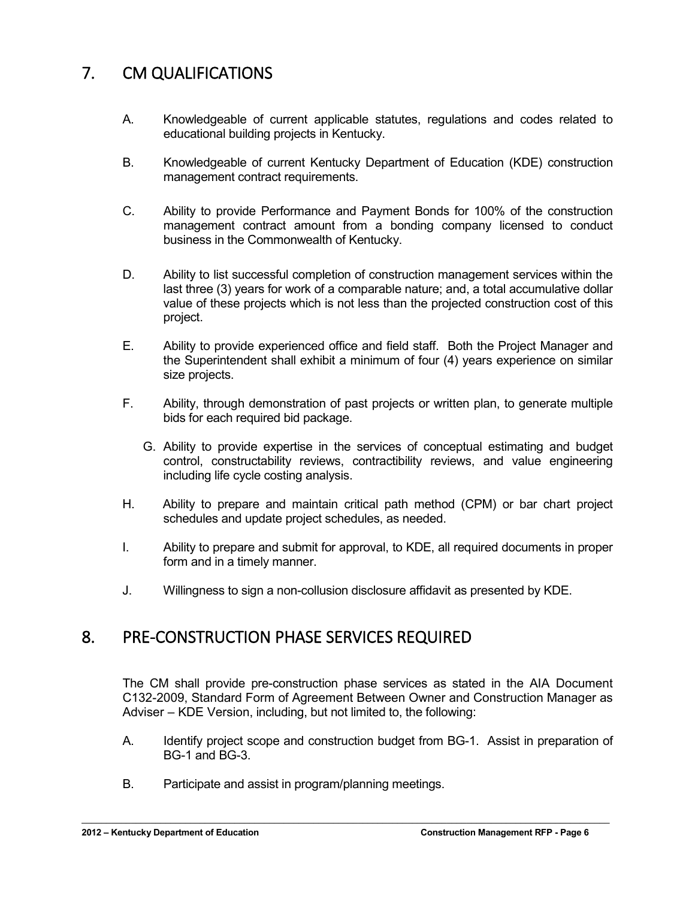# 7. CM QUALIFICATIONS

- A. Knowledgeable of current applicable statutes, regulations and codes related to educational building projects in Kentucky.
- B. Knowledgeable of current Kentucky Department of Education (KDE) construction management contract requirements.
- C. Ability to provide Performance and Payment Bonds for 100% of the construction management contract amount from a bonding company licensed to conduct business in the Commonwealth of Kentucky.
- D. Ability to list successful completion of construction management services within the last three (3) years for work of a comparable nature; and, a total accumulative dollar value of these projects which is not less than the projected construction cost of this project.
- E. Ability to provide experienced office and field staff. Both the Project Manager and the Superintendent shall exhibit a minimum of four (4) years experience on similar size projects.
- F. Ability, through demonstration of past projects or written plan, to generate multiple bids for each required bid package.
	- G. Ability to provide expertise in the services of conceptual estimating and budget control, constructability reviews, contractibility reviews, and value engineering including life cycle costing analysis.
- H. Ability to prepare and maintain critical path method (CPM) or bar chart project schedules and update project schedules, as needed.
- I. Ability to prepare and submit for approval, to KDE, all required documents in proper form and in a timely manner.
- J. Willingness to sign a non-collusion disclosure affidavit as presented by KDE.

### 8. PRE-CONSTRUCTION PHASE SERVICES REQUIRED

The CM shall provide pre-construction phase services as stated in the AIA Document C132-2009, Standard Form of Agreement Between Owner and Construction Manager as Adviser – KDE Version, including, but not limited to, the following:

A. Identify project scope and construction budget from BG-1. Assist in preparation of BG-1 and BG-3.

 $\mathcal{L}_\mathcal{L} = \mathcal{L}_\mathcal{L} = \mathcal{L}_\mathcal{L} = \mathcal{L}_\mathcal{L} = \mathcal{L}_\mathcal{L} = \mathcal{L}_\mathcal{L} = \mathcal{L}_\mathcal{L} = \mathcal{L}_\mathcal{L} = \mathcal{L}_\mathcal{L} = \mathcal{L}_\mathcal{L} = \mathcal{L}_\mathcal{L} = \mathcal{L}_\mathcal{L} = \mathcal{L}_\mathcal{L} = \mathcal{L}_\mathcal{L} = \mathcal{L}_\mathcal{L} = \mathcal{L}_\mathcal{L} = \mathcal{L}_\mathcal{L}$ 

B. Participate and assist in program/planning meetings.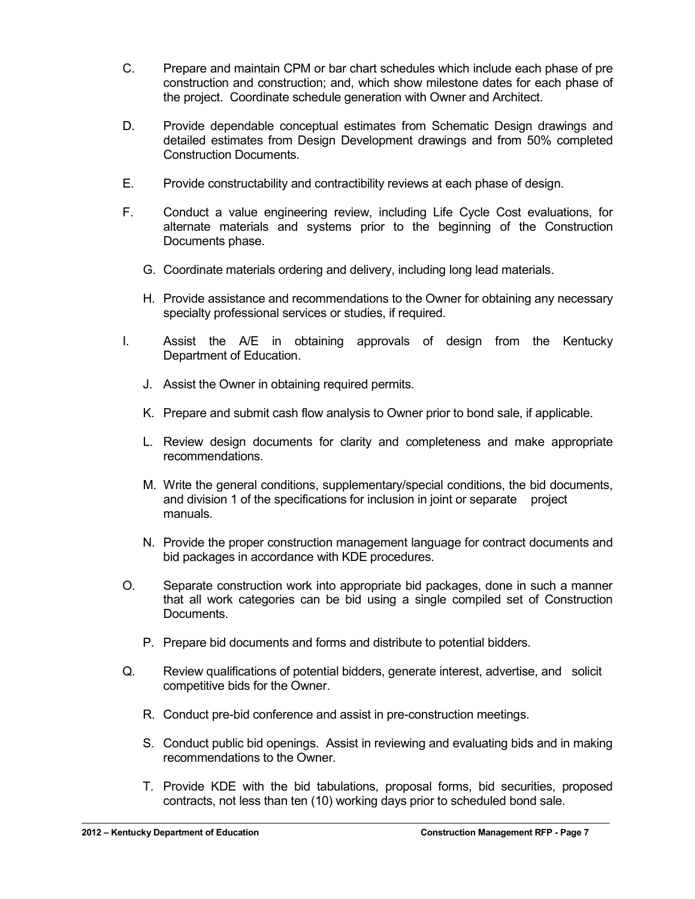- C. Prepare and maintain CPM or bar chart schedules which include each phase of pre construction and construction; and, which show milestone dates for each phase of the project. Coordinate schedule generation with Owner and Architect.
- D. Provide dependable conceptual estimates from Schematic Design drawings and detailed estimates from Design Development drawings and from 50% completed Construction Documents.
- E. Provide constructability and contractibility reviews at each phase of design.
- F. Conduct a value engineering review, including Life Cycle Cost evaluations, for alternate materials and systems prior to the beginning of the Construction Documents phase.
	- G. Coordinate materials ordering and delivery, including long lead materials.
	- H. Provide assistance and recommendations to the Owner for obtaining any necessary specialty professional services or studies, if required.
- I. Assist the A/E in obtaining approvals of design from the Kentucky Department of Education.
	- J. Assist the Owner in obtaining required permits.
	- K. Prepare and submit cash flow analysis to Owner prior to bond sale, if applicable.
	- L. Review design documents for clarity and completeness and make appropriate recommendations.
	- M. Write the general conditions, supplementary/special conditions, the bid documents, and division 1 of the specifications for inclusion in joint or separate project manuals.
	- N. Provide the proper construction management language for contract documents and bid packages in accordance with KDE procedures.
- O. Separate construction work into appropriate bid packages, done in such a manner that all work categories can be bid using a single compiled set of Construction Documents.
	- P. Prepare bid documents and forms and distribute to potential bidders.
- Q. Review qualifications of potential bidders, generate interest, advertise, and solicit competitive bids for the Owner.
	- R. Conduct pre-bid conference and assist in pre-construction meetings.

- S. Conduct public bid openings. Assist in reviewing and evaluating bids and in making recommendations to the Owner.
- T. Provide KDE with the bid tabulations, proposal forms, bid securities, proposed contracts, not less than ten (10) working days prior to scheduled bond sale.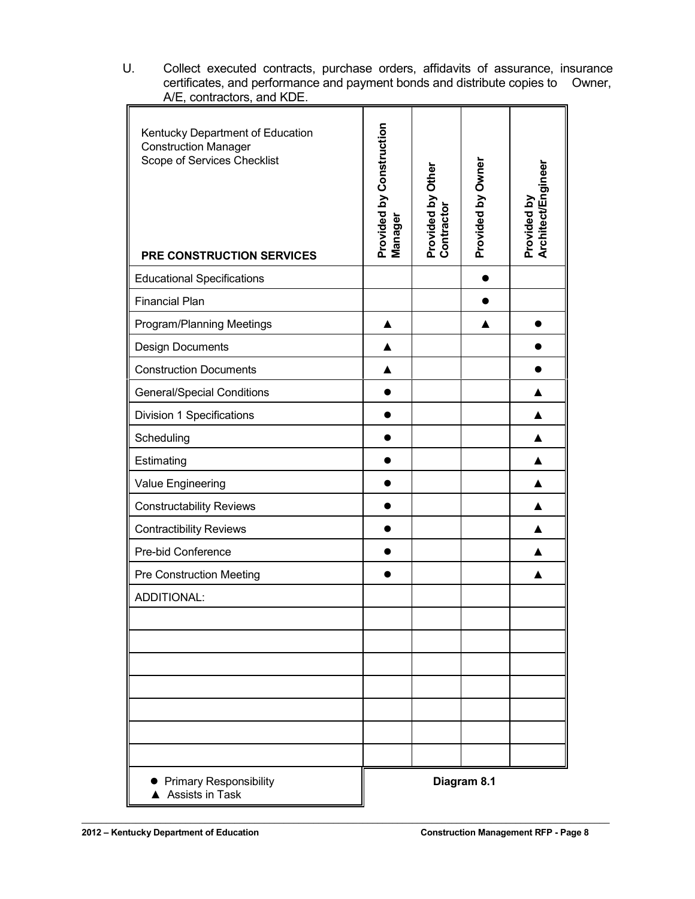| A/E, CONTROLOIS, and NDE.                                                                                                   |                                     |                                 |                   |                                   |
|-----------------------------------------------------------------------------------------------------------------------------|-------------------------------------|---------------------------------|-------------------|-----------------------------------|
| Kentucky Department of Education<br><b>Construction Manager</b><br>Scope of Services Checklist<br>PRE CONSTRUCTION SERVICES | Provided by Construction<br>Manager | Provided by Other<br>Contractor | Provided by Owner | Architect/Engineer<br>Provided by |
| <b>Educational Specifications</b>                                                                                           |                                     |                                 |                   |                                   |
| <b>Financial Plan</b>                                                                                                       |                                     |                                 |                   |                                   |
| Program/Planning Meetings                                                                                                   |                                     |                                 |                   |                                   |
| <b>Design Documents</b>                                                                                                     | ▲                                   |                                 |                   |                                   |
| <b>Construction Documents</b>                                                                                               |                                     |                                 |                   |                                   |
| <b>General/Special Conditions</b>                                                                                           |                                     |                                 |                   |                                   |
| <b>Division 1 Specifications</b>                                                                                            |                                     |                                 |                   |                                   |
| Scheduling                                                                                                                  |                                     |                                 |                   |                                   |
| Estimating                                                                                                                  |                                     |                                 |                   |                                   |
| Value Engineering                                                                                                           |                                     |                                 |                   |                                   |
| <b>Constructability Reviews</b>                                                                                             |                                     |                                 |                   |                                   |
| <b>Contractibility Reviews</b>                                                                                              |                                     |                                 |                   |                                   |
| Pre-bid Conference                                                                                                          |                                     |                                 |                   |                                   |
| <b>Pre Construction Meeting</b>                                                                                             |                                     |                                 |                   |                                   |
| ADDITIONAL:                                                                                                                 |                                     |                                 |                   |                                   |
|                                                                                                                             |                                     |                                 |                   |                                   |
|                                                                                                                             |                                     |                                 |                   |                                   |
|                                                                                                                             |                                     |                                 |                   |                                   |
|                                                                                                                             |                                     |                                 |                   |                                   |
|                                                                                                                             |                                     |                                 |                   |                                   |
|                                                                                                                             |                                     |                                 |                   |                                   |
|                                                                                                                             |                                     |                                 |                   |                                   |
| <b>Primary Responsibility</b><br>▲ Assists in Task                                                                          | Diagram 8.1                         |                                 |                   |                                   |

U. Collect executed contracts, purchase orders, affidavits of assurance, insurance certificates, and performance and payment bonds and distribute copies to Owner, A/E, contractors, and KDE.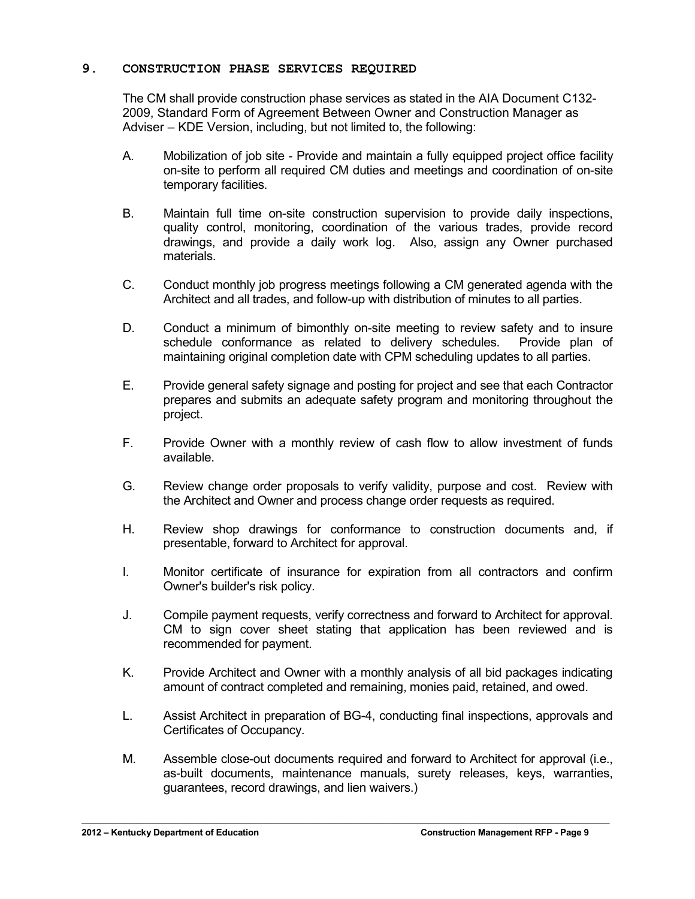#### **9. CONSTRUCTION PHASE SERVICES REQUIRED**

The CM shall provide construction phase services as stated in the AIA Document C132- 2009, Standard Form of Agreement Between Owner and Construction Manager as Adviser – KDE Version, including, but not limited to, the following:

- A. Mobilization of job site Provide and maintain a fully equipped project office facility on-site to perform all required CM duties and meetings and coordination of on-site temporary facilities.
- B. Maintain full time on-site construction supervision to provide daily inspections, quality control, monitoring, coordination of the various trades, provide record drawings, and provide a daily work log. Also, assign any Owner purchased materials.
- C. Conduct monthly job progress meetings following a CM generated agenda with the Architect and all trades, and follow-up with distribution of minutes to all parties.
- D. Conduct a minimum of bimonthly on-site meeting to review safety and to insure schedule conformance as related to delivery schedules. Provide plan of maintaining original completion date with CPM scheduling updates to all parties.
- E. Provide general safety signage and posting for project and see that each Contractor prepares and submits an adequate safety program and monitoring throughout the project.
- F. Provide Owner with a monthly review of cash flow to allow investment of funds available.
- G. Review change order proposals to verify validity, purpose and cost. Review with the Architect and Owner and process change order requests as required.
- H. Review shop drawings for conformance to construction documents and, if presentable, forward to Architect for approval.
- I. Monitor certificate of insurance for expiration from all contractors and confirm Owner's builder's risk policy.
- J. Compile payment requests, verify correctness and forward to Architect for approval. CM to sign cover sheet stating that application has been reviewed and is recommended for payment.
- K. Provide Architect and Owner with a monthly analysis of all bid packages indicating amount of contract completed and remaining, monies paid, retained, and owed.
- L. Assist Architect in preparation of BG-4, conducting final inspections, approvals and Certificates of Occupancy.
- M. Assemble close-out documents required and forward to Architect for approval (i.e., as-built documents, maintenance manuals, surety releases, keys, warranties, guarantees, record drawings, and lien waivers.)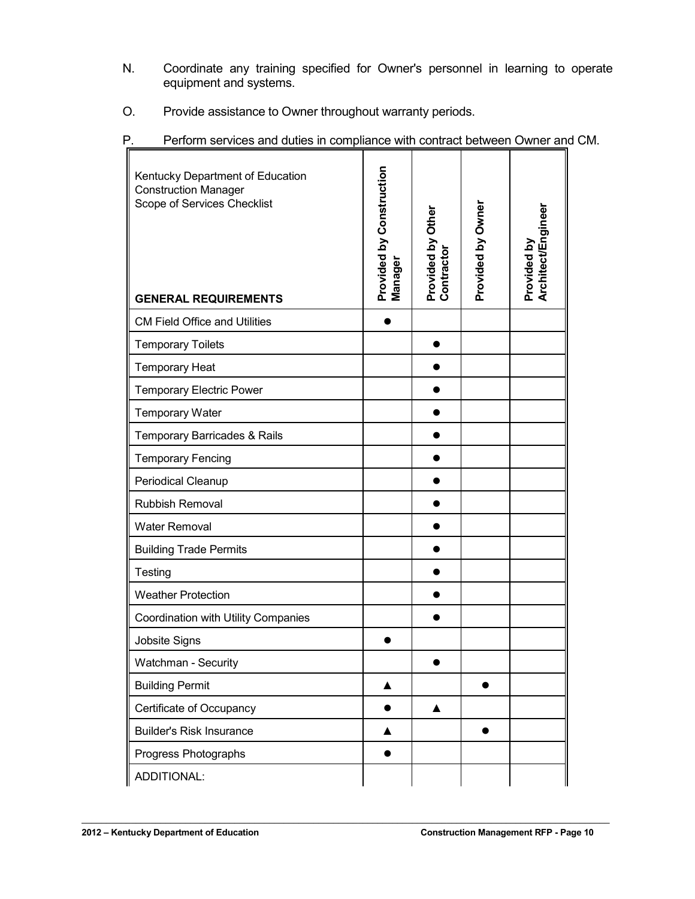- N. Coordinate any training specified for Owner's personnel in learning to operate equipment and systems.
- O. Provide assistance to Owner throughout warranty periods.

| Kentucky Department of Education<br><b>Construction Manager</b><br>Scope of Services Checklist<br><b>GENERAL REQUIREMENTS</b> | Provided by Construction<br>Manager | Provided by Other<br>Contractor | Provided by Owner | Architect/Engineer<br>Provided by |
|-------------------------------------------------------------------------------------------------------------------------------|-------------------------------------|---------------------------------|-------------------|-----------------------------------|
| <b>CM Field Office and Utilities</b>                                                                                          |                                     |                                 |                   |                                   |
| <b>Temporary Toilets</b>                                                                                                      |                                     |                                 |                   |                                   |
| <b>Temporary Heat</b>                                                                                                         |                                     |                                 |                   |                                   |
| <b>Temporary Electric Power</b>                                                                                               |                                     |                                 |                   |                                   |
| <b>Temporary Water</b>                                                                                                        |                                     |                                 |                   |                                   |
| Temporary Barricades & Rails                                                                                                  |                                     |                                 |                   |                                   |
| <b>Temporary Fencing</b>                                                                                                      |                                     |                                 |                   |                                   |
| Periodical Cleanup                                                                                                            |                                     |                                 |                   |                                   |
| <b>Rubbish Removal</b>                                                                                                        |                                     |                                 |                   |                                   |
| <b>Water Removal</b>                                                                                                          |                                     |                                 |                   |                                   |
| <b>Building Trade Permits</b>                                                                                                 |                                     |                                 |                   |                                   |
| Testing                                                                                                                       |                                     |                                 |                   |                                   |
| <b>Weather Protection</b>                                                                                                     |                                     |                                 |                   |                                   |
| Coordination with Utility Companies                                                                                           |                                     |                                 |                   |                                   |
| Jobsite Signs                                                                                                                 |                                     |                                 |                   |                                   |
| Watchman - Security                                                                                                           |                                     |                                 |                   |                                   |
| <b>Building Permit</b>                                                                                                        | ▲                                   |                                 |                   |                                   |
| Certificate of Occupancy                                                                                                      |                                     |                                 |                   |                                   |
| <b>Builder's Risk Insurance</b>                                                                                               |                                     |                                 |                   |                                   |
| Progress Photographs                                                                                                          |                                     |                                 |                   |                                   |
| ADDITIONAL:                                                                                                                   |                                     |                                 |                   |                                   |

P. Perform services and duties in compliance with contract between Owner and CM.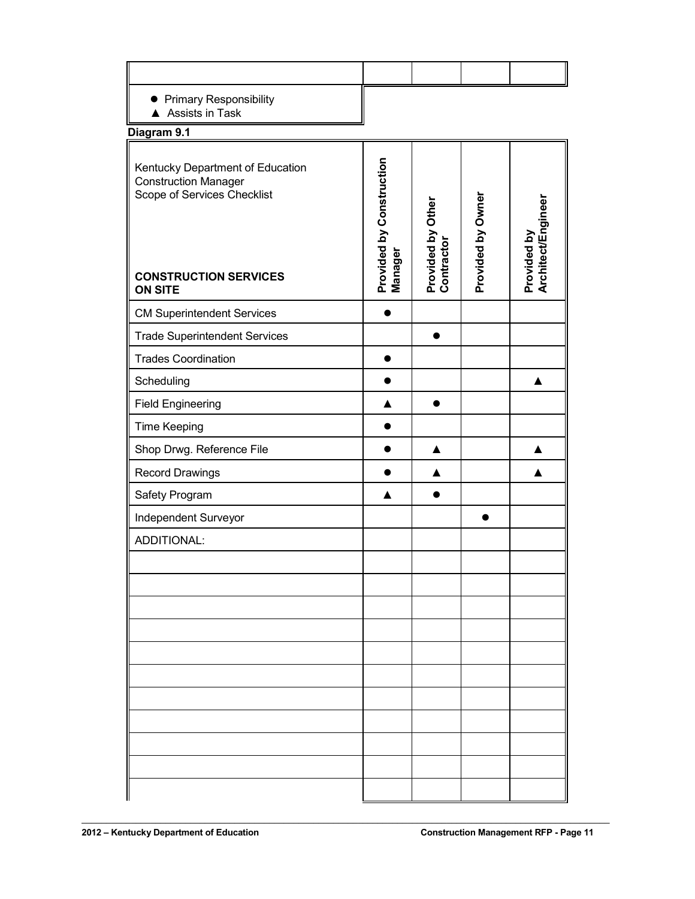| Primary Responsibility<br>A Assists in Task                                                                                    |                                     |                                 |                   |                                   |
|--------------------------------------------------------------------------------------------------------------------------------|-------------------------------------|---------------------------------|-------------------|-----------------------------------|
| Diagram 9.1                                                                                                                    |                                     |                                 |                   |                                   |
| Kentucky Department of Education<br><b>Construction Manager</b><br>Scope of Services Checklist<br><b>CONSTRUCTION SERVICES</b> | Provided by Construction<br>Manager | Provided by Other<br>Contractor | Provided by Owner | Architect/Engineer<br>Provided by |
| <b>ON SITE</b>                                                                                                                 |                                     |                                 |                   |                                   |
| <b>CM Superintendent Services</b>                                                                                              |                                     |                                 |                   |                                   |
| <b>Trade Superintendent Services</b>                                                                                           |                                     |                                 |                   |                                   |
| <b>Trades Coordination</b>                                                                                                     |                                     |                                 |                   |                                   |
| Scheduling                                                                                                                     |                                     |                                 |                   |                                   |
| <b>Field Engineering</b>                                                                                                       |                                     |                                 |                   |                                   |
| <b>Time Keeping</b>                                                                                                            |                                     |                                 |                   |                                   |
| Shop Drwg. Reference File                                                                                                      |                                     |                                 |                   |                                   |
| <b>Record Drawings</b>                                                                                                         |                                     |                                 |                   |                                   |
| Safety Program                                                                                                                 | ▲                                   |                                 |                   |                                   |
| Independent Surveyor                                                                                                           |                                     |                                 |                   |                                   |
| ADDITIONAL:                                                                                                                    |                                     |                                 |                   |                                   |
|                                                                                                                                |                                     |                                 |                   |                                   |
|                                                                                                                                |                                     |                                 |                   |                                   |
|                                                                                                                                |                                     |                                 |                   |                                   |
|                                                                                                                                |                                     |                                 |                   |                                   |
|                                                                                                                                |                                     |                                 |                   |                                   |
|                                                                                                                                |                                     |                                 |                   |                                   |
|                                                                                                                                |                                     |                                 |                   |                                   |
|                                                                                                                                |                                     |                                 |                   |                                   |
|                                                                                                                                |                                     |                                 |                   |                                   |
|                                                                                                                                |                                     |                                 |                   |                                   |
|                                                                                                                                |                                     |                                 |                   |                                   |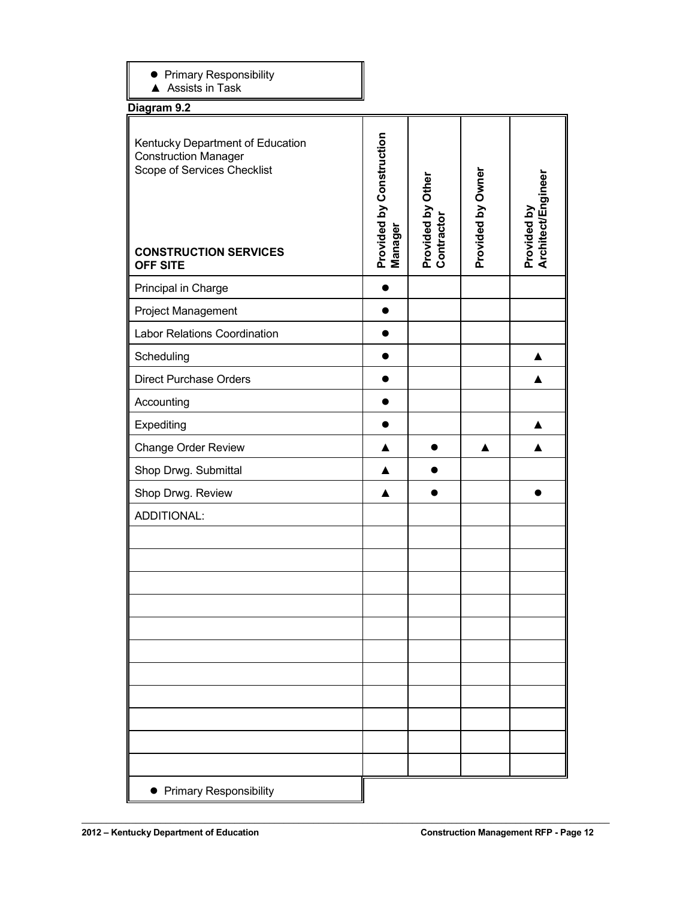| • Primary Responsibility |  |  |
|--------------------------|--|--|
|                          |  |  |

▲ Assists in Task

**Diagram 9.2**

| 709.am en                                                                                                                                         |                                     |                                 |                   |                                   |
|---------------------------------------------------------------------------------------------------------------------------------------------------|-------------------------------------|---------------------------------|-------------------|-----------------------------------|
| Kentucky Department of Education<br><b>Construction Manager</b><br>Scope of Services Checklist<br><b>CONSTRUCTION SERVICES</b><br><b>OFF SITE</b> | Provided by Construction<br>Manager | Provided by Other<br>Contractor | Provided by Owner | Architect/Engineer<br>Provided by |
| Principal in Charge                                                                                                                               |                                     |                                 |                   |                                   |
| Project Management                                                                                                                                |                                     |                                 |                   |                                   |
| <b>Labor Relations Coordination</b>                                                                                                               |                                     |                                 |                   |                                   |
| Scheduling                                                                                                                                        |                                     |                                 |                   |                                   |
| <b>Direct Purchase Orders</b>                                                                                                                     |                                     |                                 |                   |                                   |
| Accounting                                                                                                                                        |                                     |                                 |                   |                                   |
| Expediting                                                                                                                                        |                                     |                                 |                   |                                   |
| Change Order Review                                                                                                                               |                                     |                                 |                   |                                   |
| Shop Drwg. Submittal                                                                                                                              |                                     |                                 |                   |                                   |
| Shop Drwg. Review                                                                                                                                 |                                     |                                 |                   |                                   |
| ADDITIONAL:                                                                                                                                       |                                     |                                 |                   |                                   |
|                                                                                                                                                   |                                     |                                 |                   |                                   |
|                                                                                                                                                   |                                     |                                 |                   |                                   |
|                                                                                                                                                   |                                     |                                 |                   |                                   |
|                                                                                                                                                   |                                     |                                 |                   |                                   |
|                                                                                                                                                   |                                     |                                 |                   |                                   |
|                                                                                                                                                   |                                     |                                 |                   |                                   |
|                                                                                                                                                   |                                     |                                 |                   |                                   |
|                                                                                                                                                   |                                     |                                 |                   |                                   |
|                                                                                                                                                   |                                     |                                 |                   |                                   |
|                                                                                                                                                   |                                     |                                 |                   |                                   |
|                                                                                                                                                   |                                     |                                 |                   |                                   |
| • Primary Responsibility                                                                                                                          |                                     |                                 |                   |                                   |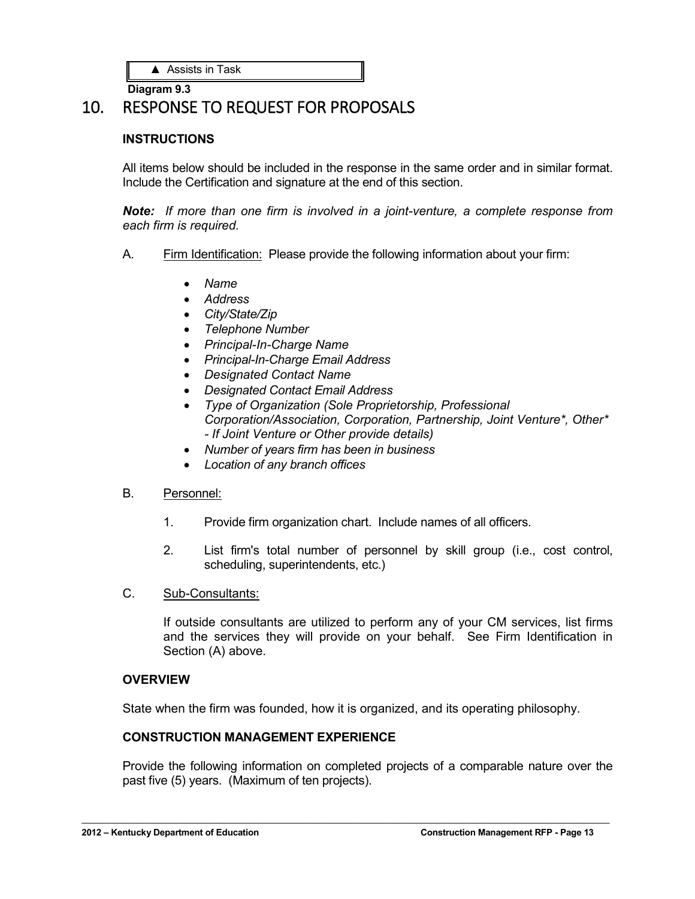**Diagram 9.3**

# 10. RESPONSE TO REQUEST FOR PROPOSALS

#### **INSTRUCTIONS**

All items below should be included in the response in the same order and in similar format. Include the Certification and signature at the end of this section.

*Note: If more than one firm is involved in a joint-venture, a complete response from each firm is required.*

- A. Firm Identification: Please provide the following information about your firm:
	- *Name*
	- *Address*
	- *City/State/Zip*
	- *Telephone Number*
	- *Principal-In-Charge Name*
	- *Principal-In-Charge Email Address*
	- *Designated Contact Name*
	- *Designated Contact Email Address*
	- *Type of Organization (Sole Proprietorship, Professional Corporation/Association, Corporation, Partnership, Joint Venture\*, Other\* - If Joint Venture or Other provide details)*
	- *Number of years firm has been in business*
	- *Location of any branch offices*

#### B. Personnel:

- 1. Provide firm organization chart. Include names of all officers.
- 2. List firm's total number of personnel by skill group (i.e., cost control, scheduling, superintendents, etc.)
- C. Sub-Consultants:

If outside consultants are utilized to perform any of your CM services, list firms and the services they will provide on your behalf. See Firm Identification in Section (A) above.

#### **OVERVIEW**

State when the firm was founded, how it is organized, and its operating philosophy.

 $\mathcal{L}_\mathcal{L} = \mathcal{L}_\mathcal{L} = \mathcal{L}_\mathcal{L} = \mathcal{L}_\mathcal{L} = \mathcal{L}_\mathcal{L} = \mathcal{L}_\mathcal{L} = \mathcal{L}_\mathcal{L} = \mathcal{L}_\mathcal{L} = \mathcal{L}_\mathcal{L} = \mathcal{L}_\mathcal{L} = \mathcal{L}_\mathcal{L} = \mathcal{L}_\mathcal{L} = \mathcal{L}_\mathcal{L} = \mathcal{L}_\mathcal{L} = \mathcal{L}_\mathcal{L} = \mathcal{L}_\mathcal{L} = \mathcal{L}_\mathcal{L}$ 

#### **CONSTRUCTION MANAGEMENT EXPERIENCE**

Provide the following information on completed projects of a comparable nature over the past five (5) years. (Maximum of ten projects).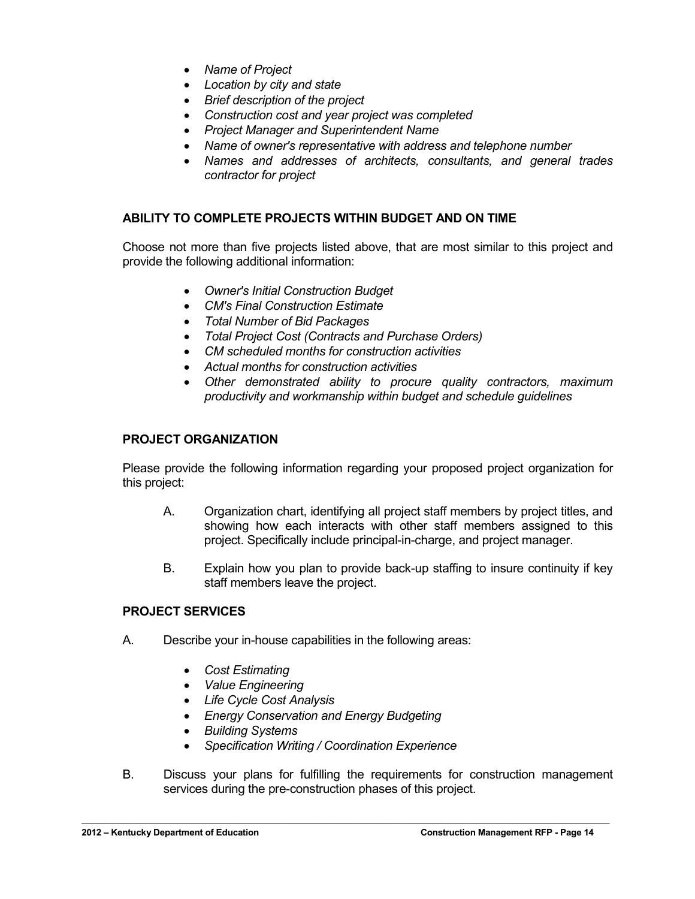- *Name of Project*
- *Location by city and state*
- *Brief description of the project*
- *Construction cost and year project was completed*
- *Project Manager and Superintendent Name*
- *Name of owner's representative with address and telephone number*
- *Names and addresses of architects, consultants, and general trades contractor for project*

#### **ABILITY TO COMPLETE PROJECTS WITHIN BUDGET AND ON TIME**

Choose not more than five projects listed above, that are most similar to this project and provide the following additional information:

- *Owner's Initial Construction Budget*
- *CM's Final Construction Estimate*
- *Total Number of Bid Packages*
- *Total Project Cost (Contracts and Purchase Orders)*
- *CM scheduled months for construction activities*
- *Actual months for construction activities*
- *Other demonstrated ability to procure quality contractors, maximum productivity and workmanship within budget and schedule guidelines*

#### **PROJECT ORGANIZATION**

Please provide the following information regarding your proposed project organization for this project:

- A. Organization chart, identifying all project staff members by project titles, and showing how each interacts with other staff members assigned to this project. Specifically include principal-in-charge, and project manager.
- B. Explain how you plan to provide back-up staffing to insure continuity if key staff members leave the project.

#### **PROJECT SERVICES**

- A. Describe your in-house capabilities in the following areas:
	- *Cost Estimating*
	- *Value Engineering*
	- *Life Cycle Cost Analysis*
	- *Energy Conservation and Energy Budgeting*
	- *Building Systems*
	- *Specification Writing / Coordination Experience*
- B. Discuss your plans for fulfilling the requirements for construction management services during the pre-construction phases of this project.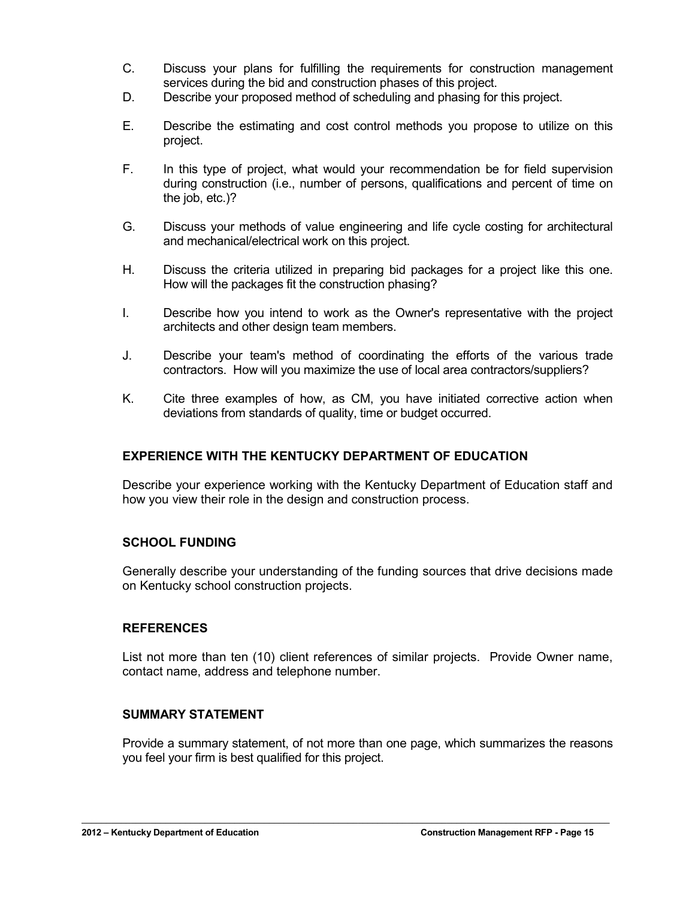- C. Discuss your plans for fulfilling the requirements for construction management services during the bid and construction phases of this project.
- D. Describe your proposed method of scheduling and phasing for this project.
- E. Describe the estimating and cost control methods you propose to utilize on this project.
- F. In this type of project, what would your recommendation be for field supervision during construction (i.e., number of persons, qualifications and percent of time on the job, etc.)?
- G. Discuss your methods of value engineering and life cycle costing for architectural and mechanical/electrical work on this project.
- H. Discuss the criteria utilized in preparing bid packages for a project like this one. How will the packages fit the construction phasing?
- I. Describe how you intend to work as the Owner's representative with the project architects and other design team members.
- J. Describe your team's method of coordinating the efforts of the various trade contractors. How will you maximize the use of local area contractors/suppliers?
- K. Cite three examples of how, as CM, you have initiated corrective action when deviations from standards of quality, time or budget occurred.

#### **EXPERIENCE WITH THE KENTUCKY DEPARTMENT OF EDUCATION**

Describe your experience working with the Kentucky Department of Education staff and how you view their role in the design and construction process.

#### **SCHOOL FUNDING**

Generally describe your understanding of the funding sources that drive decisions made on Kentucky school construction projects.

#### **REFERENCES**

List not more than ten (10) client references of similar projects. Provide Owner name, contact name, address and telephone number.

#### **SUMMARY STATEMENT**

Provide a summary statement, of not more than one page, which summarizes the reasons you feel your firm is best qualified for this project.